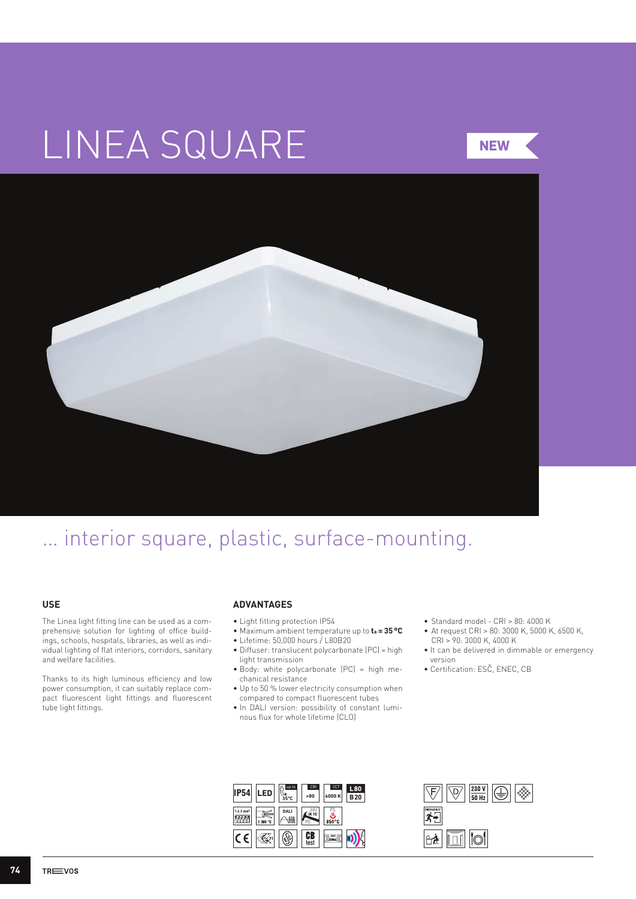# LINEA SQUARE



## … interior square, plastic, surface-mounting.

#### **USE**

The Linea light fitting line can be used as a comprehensive solution for lighting of office buildings, schools, hospitals, libraries, as well as individual lighting of flat interiors, corridors, sanitary and welfare facilities.

Thanks to its high luminous efficiency and low power consumption, it can suitably replace compact fluorescent light fittings and fluorescent tube light fittings.

#### **ADVANTAGES**

- Light fitting protection IP54
- Maximum ambient temperature up to **ta = 35°C**
- Lifetime: 50,000 hours / L80B20
- Diffuser: translucent polycarbonate (PC) = high
- light transmission • Body: white polycarbonate (PC) = high mechanical resistance
- Up to 50 % lower electricity consumption when compared to compact fluorescent tubes
- In DALI version: possibility of constant luminous flux for whole lifetime (CLO)
- • Standard model CRI > 80: 4000 K
- • At request CRI > 80: 3000 K, 5000 K, 6500 K, CRI > 90: 3000 K, 4000 K
- It can be delivered in dimmable or emergency version
- Certification: ESČ, ENEC, CB